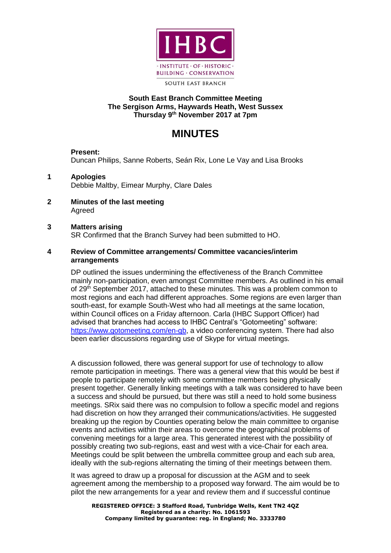

SOUTH EAST BRANCH

### **South East Branch Committee Meeting The Sergison Arms, Haywards Heath, West Sussex Thursday 9 th November 2017 at 7pm**

# **MINUTES**

# **Present:**

Duncan Philips, Sanne Roberts, Seán Rix, Lone Le Vay and Lisa Brooks

- **1 Apologies**  Debbie Maltby, Eimear Murphy, Clare Dales
- **2 Minutes of the last meeting**  Agreed

#### **3 Matters arising**

SR Confirmed that the Branch Survey had been submitted to HO.

#### **4 Review of Committee arrangements/ Committee vacancies/interim arrangements**

DP outlined the issues undermining the effectiveness of the Branch Committee mainly non-participation, even amongst Committee members. As outlined in his email of 29<sup>th</sup> September 2017, attached to these minutes. This was a problem common to most regions and each had different approaches. Some regions are even larger than south-east, for example South-West who had all meetings at the same location, within Council offices on a Friday afternoon. Carla (IHBC Support Officer) had advised that branches had access to IHBC Central's "Gotomeeting" software: [https://www.gotomeeting.com/en-gb,](https://www.gotomeeting.com/en-gb) a video conferencing system. There had also been earlier discussions regarding use of Skype for virtual meetings.

A discussion followed, there was general support for use of technology to allow remote participation in meetings. There was a general view that this would be best if people to participate remotely with some committee members being physically present together. Generally linking meetings with a talk was considered to have been a success and should be pursued, but there was still a need to hold some business meetings. SRix said there was no compulsion to follow a specific model and regions had discretion on how they arranged their communications/activities. He suggested breaking up the region by Counties operating below the main committee to organise events and activities within their areas to overcome the geographical problems of convening meetings for a large area. This generated interest with the possibility of possibly creating two sub-regions, east and west with a vice-Chair for each area. Meetings could be split between the umbrella committee group and each sub area, ideally with the sub-regions alternating the timing of their meetings between them.

It was agreed to draw up a proposal for discussion at the AGM and to seek agreement among the membership to a proposed way forward. The aim would be to pilot the new arrangements for a year and review them and if successful continue

**REGISTERED OFFICE: 3 Stafford Road, Tunbridge Wells, Kent TN2 4QZ Registered as a charity: No. 1061593 Company limited by guarantee: reg. in England; No. 3333780**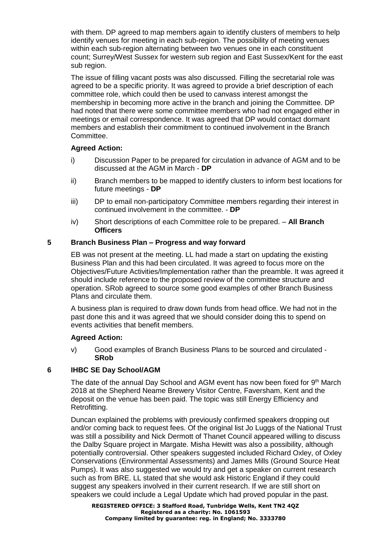with them. DP agreed to map members again to identify clusters of members to help identify venues for meeting in each sub-region. The possibility of meeting venues within each sub-region alternating between two venues one in each constituent count; Surrey/West Sussex for western sub region and East Sussex/Kent for the east sub region.

The issue of filling vacant posts was also discussed. Filling the secretarial role was agreed to be a specific priority. It was agreed to provide a brief description of each committee role, which could then be used to canvass interest amongst the membership in becoming more active in the branch and joining the Committee. DP had noted that there were some committee members who had not engaged either in meetings or email correspondence. It was agreed that DP would contact dormant members and establish their commitment to continued involvement in the Branch Committee.

#### **Agreed Action:**

- i) Discussion Paper to be prepared for circulation in advance of AGM and to be discussed at the AGM in March - **DP**
- ii) Branch members to be mapped to identify clusters to inform best locations for future meetings - **DP**
- iii) DP to email non-participatory Committee members regarding their interest in continued involvement in the committee. - **DP**
- iv) Short descriptions of each Committee role to be prepared. **All Branch Officers**

## **5 Branch Business Plan – Progress and way forward**

EB was not present at the meeting. LL had made a start on updating the existing Business Plan and this had been circulated. It was agreed to focus more on the Objectives/Future Activities/Implementation rather than the preamble. It was agreed it should include reference to the proposed review of the committee structure and operation. SRob agreed to source some good examples of other Branch Business Plans and circulate them.

A business plan is required to draw down funds from head office. We had not in the past done this and it was agreed that we should consider doing this to spend on events activities that benefit members.

#### **Agreed Action:**

v) Good examples of Branch Business Plans to be sourced and circulated - **SRob**

# **6 IHBC SE Day School/AGM**

The date of the annual Day School and AGM event has now been fixed for 9<sup>th</sup> March 2018 at the Shepherd Neame Brewery Visitor Centre, Faversham, Kent and the deposit on the venue has been paid. The topic was still Energy Efficiency and Retrofitting.

Duncan explained the problems with previously confirmed speakers dropping out and/or coming back to request fees. Of the original list Jo Luggs of the National Trust was still a possibility and Nick Dermott of Thanet Council appeared willing to discuss the Dalby Square project in Margate. Misha Hewitt was also a possibility, although potentially controversial. Other speakers suggested included Richard Oxley, of Oxley Conservations (Environmental Assessments) and James Mills (Ground Source Heat Pumps). It was also suggested we would try and get a speaker on current research such as from BRE. LL stated that she would ask Historic England if they could suggest any speakers involved in their current research. If we are still short on speakers we could include a Legal Update which had proved popular in the past.

**REGISTERED OFFICE: 3 Stafford Road, Tunbridge Wells, Kent TN2 4QZ Registered as a charity: No. 1061593 Company limited by guarantee: reg. in England; No. 3333780**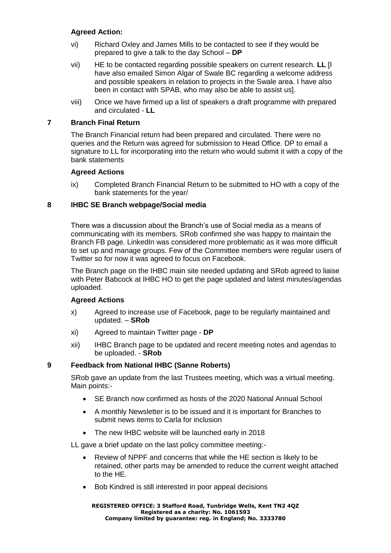## **Agreed Action:**

- vi) Richard Oxley and James Mills to be contacted to see if they would be prepared to give a talk to the day School – **DP**
- vii) HE to be contacted regarding possible speakers on current research. **LL** [I have also emailed Simon Algar of Swale BC regarding a welcome address and possible speakers in relation to projects in the Swale area. I have also been in contact with SPAB, who may also be able to assist us].
- viii) Once we have firmed up a list of speakers a draft programme with prepared and circulated - **LL**

#### **7 Branch Final Return**

The Branch Financial return had been prepared and circulated. There were no queries and the Return was agreed for submission to Head Office. DP to email a signature to LL for incorporating into the return who would submit it with a copy of the bank statements

#### **Agreed Actions**

ix) Completed Branch Financial Return to be submitted to HO with a copy of the bank statements for the year/

#### **8 IHBC SE Branch webpage/Social media**

There was a discussion about the Branch's use of Social media as a means of communicating with its members. SRob confirmed she was happy to maintain the Branch FB page. LinkedIn was considered more problematic as it was more difficult to set up and manage groups. Few of the Committee members were regular users of Twitter so for now it was agreed to focus on Facebook.

The Branch page on the IHBC main site needed updating and SRob agreed to liaise with Peter Babcock at IHBC HO to get the page updated and latest minutes/agendas uploaded.

#### **Agreed Actions**

- x) Agreed to increase use of Facebook, page to be regularly maintained and updated. – **SRob**
- xi) Agreed to maintain Twitter page **DP**
- xii) IHBC Branch page to be updated and recent meeting notes and agendas to be uploaded. - **SRob**

#### **9 Feedback from National IHBC (Sanne Roberts)**

SRob gave an update from the last Trustees meeting, which was a virtual meeting. Main points:-

- SE Branch now confirmed as hosts of the 2020 National Annual School
- A monthly Newsletter is to be issued and it is important for Branches to submit news items to Carla for inclusion
- The new IHBC website will be launched early in 2018

LL gave a brief update on the last policy committee meeting:-

- Review of NPPF and concerns that while the HE section is likely to be retained, other parts may be amended to reduce the current weight attached to the HE.
- Bob Kindred is still interested in poor appeal decisions

**REGISTERED OFFICE: 3 Stafford Road, Tunbridge Wells, Kent TN2 4QZ Registered as a charity: No. 1061593 Company limited by guarantee: reg. in England; No. 3333780**